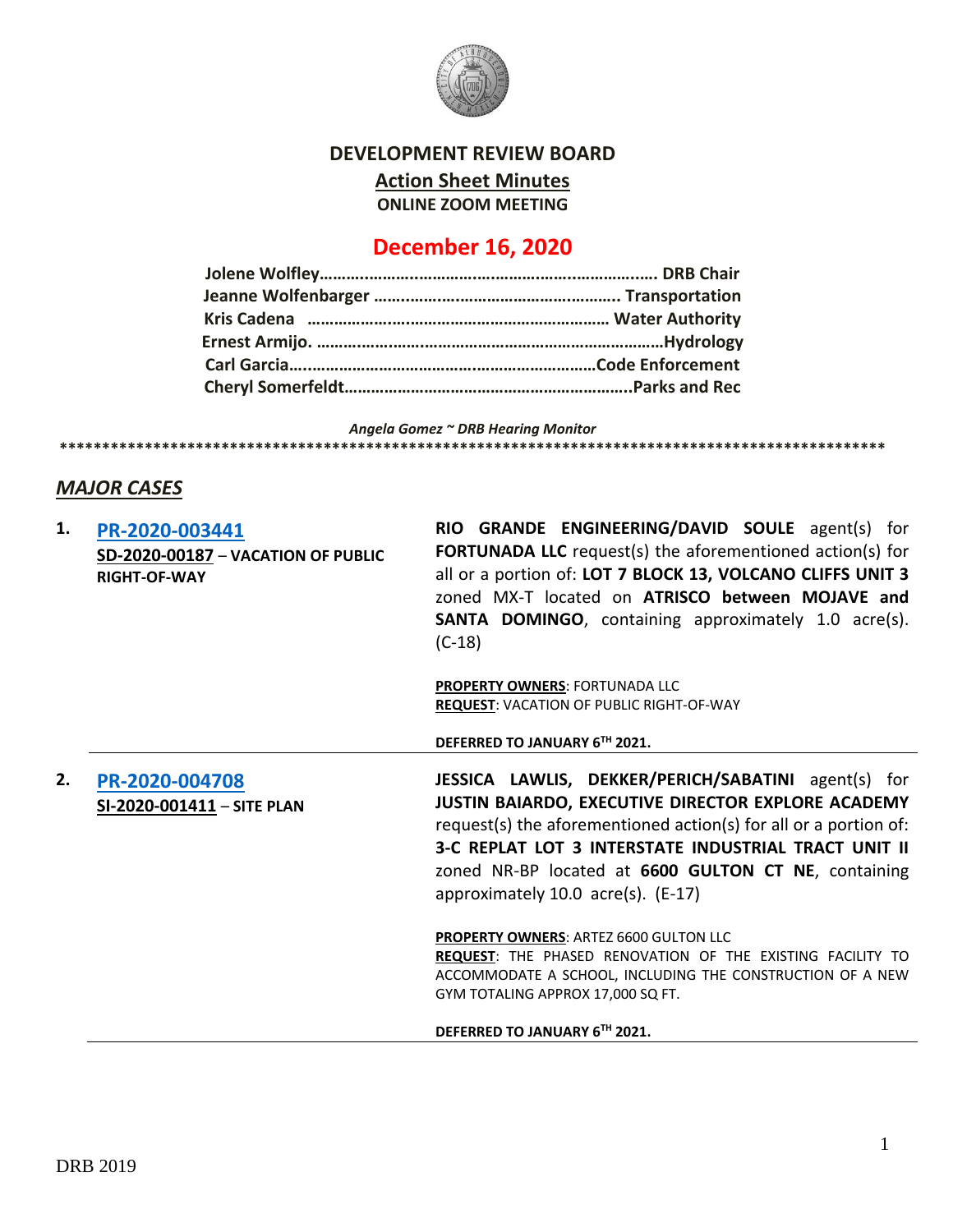

#### **DEVELOPMENT REVIEW BOARD**

**Action Sheet Minutes**

**ONLINE ZOOM MEETING**

# **December 16, 2020**

*Angela Gomez ~ DRB Hearing Monitor* **\*\*\*\*\*\*\*\*\*\*\*\*\*\*\*\*\*\*\*\*\*\*\*\*\*\*\*\*\*\*\*\*\*\*\*\*\*\*\*\*\*\*\*\*\*\*\*\*\*\*\*\*\*\*\*\*\*\*\*\*\*\*\*\*\*\*\*\*\*\*\*\*\*\*\*\*\*\*\*\*\*\*\*\*\*\*\*\*\*\*\*\*\*\*\*\*\***

### *MAJOR CASES*

|                                               | zoned MX-T located on ATRISCO between MOJAVE and<br><b>SANTA DOMINGO</b> , containing approximately 1.0 acre(s).<br>$(C-18)$                                                                                                                                                                                                                      |
|-----------------------------------------------|---------------------------------------------------------------------------------------------------------------------------------------------------------------------------------------------------------------------------------------------------------------------------------------------------------------------------------------------------|
|                                               | <b>PROPERTY OWNERS: FORTUNADA LLC</b><br><b>REQUEST: VACATION OF PUBLIC RIGHT-OF-WAY</b>                                                                                                                                                                                                                                                          |
|                                               | DEFERRED TO JANUARY 6TH 2021.                                                                                                                                                                                                                                                                                                                     |
| PR-2020-004708<br>$SL-2020-001411-$ SITE PLAN | <b>JESSICA LAWLIS, DEKKER/PERICH/SABATINI</b> agent(s) for<br>JUSTIN BAIARDO, EXECUTIVE DIRECTOR EXPLORE ACADEMY<br>request(s) the aforementioned action(s) for all or a portion of:<br><b>3-C REPLAT LOT 3 INTERSTATE INDUSTRIAL TRACT UNIT II</b><br>zoned NR-BP located at 6600 GULTON CT NE, containing<br>approximately 10.0 acre(s). (E-17) |
|                                               | PROPERTY OWNERS: ARTEZ 6600 GULTON LLC<br><b>REQUEST:</b> THE PHASED RENOVATION OF THE EXISTING FACILITY TO<br>ACCOMMODATE A SCHOOL, INCLUDING THE CONSTRUCTION OF A NEW<br>GYM TOTALING APPROX 17,000 SQ FT.<br>DEFERRED TO JANUARY 6TH 2021.                                                                                                    |
|                                               |                                                                                                                                                                                                                                                                                                                                                   |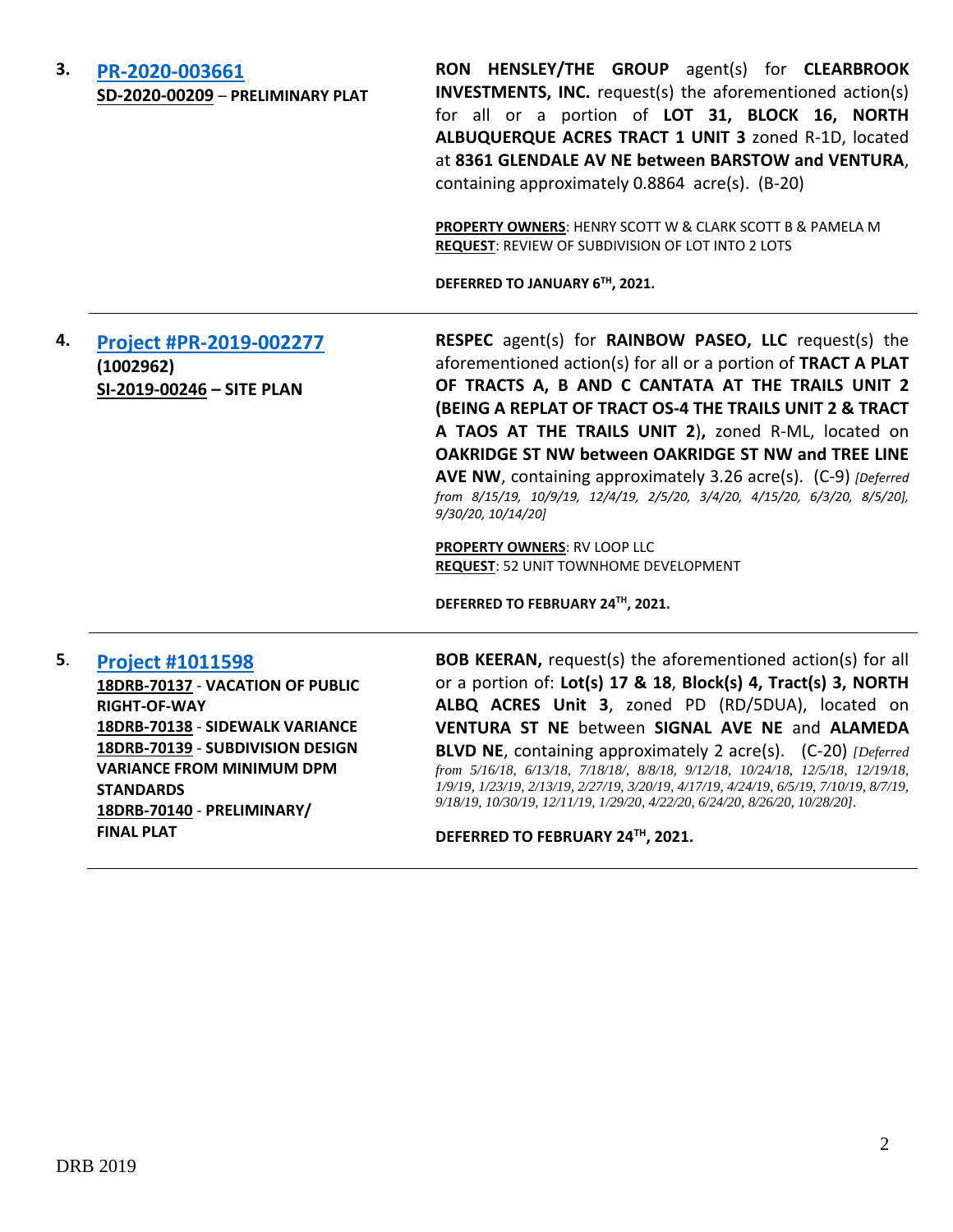## **3. [PR-2020-003661](http://data.cabq.gov/government/planning/DRB/PR-2020-003661/DRB%20Submittals/PR-2020-003661_Dec_16_2020/Application/2020-003661%20Preliminary%20Plat%20DRB%20Submittal.pdf)**

**SD-2020-00209** – **PRELIMINARY PLAT**

**RON HENSLEY/THE GROUP** agent(s) for **CLEARBROOK INVESTMENTS, INC.** request(s) the aforementioned action(s) for all or a portion of **LOT 31, BLOCK 16, NORTH ALBUQUERQUE ACRES TRACT 1 UNIT 3** zoned R-1D, located at **8361 GLENDALE AV NE between BARSTOW and VENTURA**, containing approximately 0.8864 acre(s). (B-20)

**PROPERTY OWNERS**: HENRY SCOTT W & CLARK SCOTT B & PAMELA M **REQUEST**: REVIEW OF SUBDIVISION OF LOT INTO 2 LOTS

**DEFERRED TO JANUARY 6TH , 2021.**

**4. [Project #PR-2019-002277](http://data.cabq.gov/government/planning/DRB/PR-2019-002277/DRB%20Submittals/) (1002962) SI-2019-00246 – SITE PLAN RESPEC** agent(s) for **RAINBOW PASEO, LLC** request(s) the aforementioned action(s) for all or a portion of **TRACT A PLAT OF TRACTS A, B AND C CANTATA AT THE TRAILS UNIT 2 (BEING A REPLAT OF TRACT OS-4 THE TRAILS UNIT 2 & TRACT A TAOS AT THE TRAILS UNIT 2**)**,** zoned R-ML, located on **OAKRIDGE ST NW between OAKRIDGE ST NW and TREE LINE AVE NW**, containing approximately 3.26 acre(s). (C-9) *[Deferred from 8/15/19, 10/9/19, 12/4/19, 2/5/20, 3/4/20, 4/15/20, 6/3/20, 8/5/20], 9/30/20, 10/14/20]*

**PROPERTY OWNERS**: RV LOOP LLC **REQUEST**: 52 UNIT TOWNHOME DEVELOPMENT

**DEFERRED TO FEBRUARY 24TH , 2021.**

#### **5**. **[Project #1011598](http://data.cabq.gov/government/planning/DRB/1011598/1011598_DRB%20Submittals/)**

**18DRB-70137** - **VACATION OF PUBLIC RIGHT-OF-WAY 18DRB-70138** - **SIDEWALK VARIANCE 18DRB-70139** - **SUBDIVISION DESIGN VARIANCE FROM MINIMUM DPM STANDARDS 18DRB-70140** - **PRELIMINARY/ FINAL PLAT**

**BOB KEERAN,** request(s) the aforementioned action(s) for all or a portion of: **Lot(s) 17 & 18**, **Block(s) 4, Tract(s) 3, NORTH ALBQ ACRES Unit 3**, zoned PD (RD/5DUA), located on **VENTURA ST NE** between **SIGNAL AVE NE** and **ALAMEDA BLVD NE**, containing approximately 2 acre(s). (C-20) *[Deferred from 5/16/18, 6/13/18, 7/18/18/, 8/8/18, 9/12/18, 10/24/18, 12/5/18, 12/19/18, 1/9/19, 1/23/19, 2/13/19, 2/27/19, 3/20/19, 4/17/19, 4/24/19, 6/5/19, 7/10/19, 8/7/19, 9/18/19, 10/30/19, 12/11/19, 1/29/20, 4/22/20, 6/24/20, 8/26/20, 10/28/20].*

**DEFERRED TO FEBRUARY 24TH , 2021.**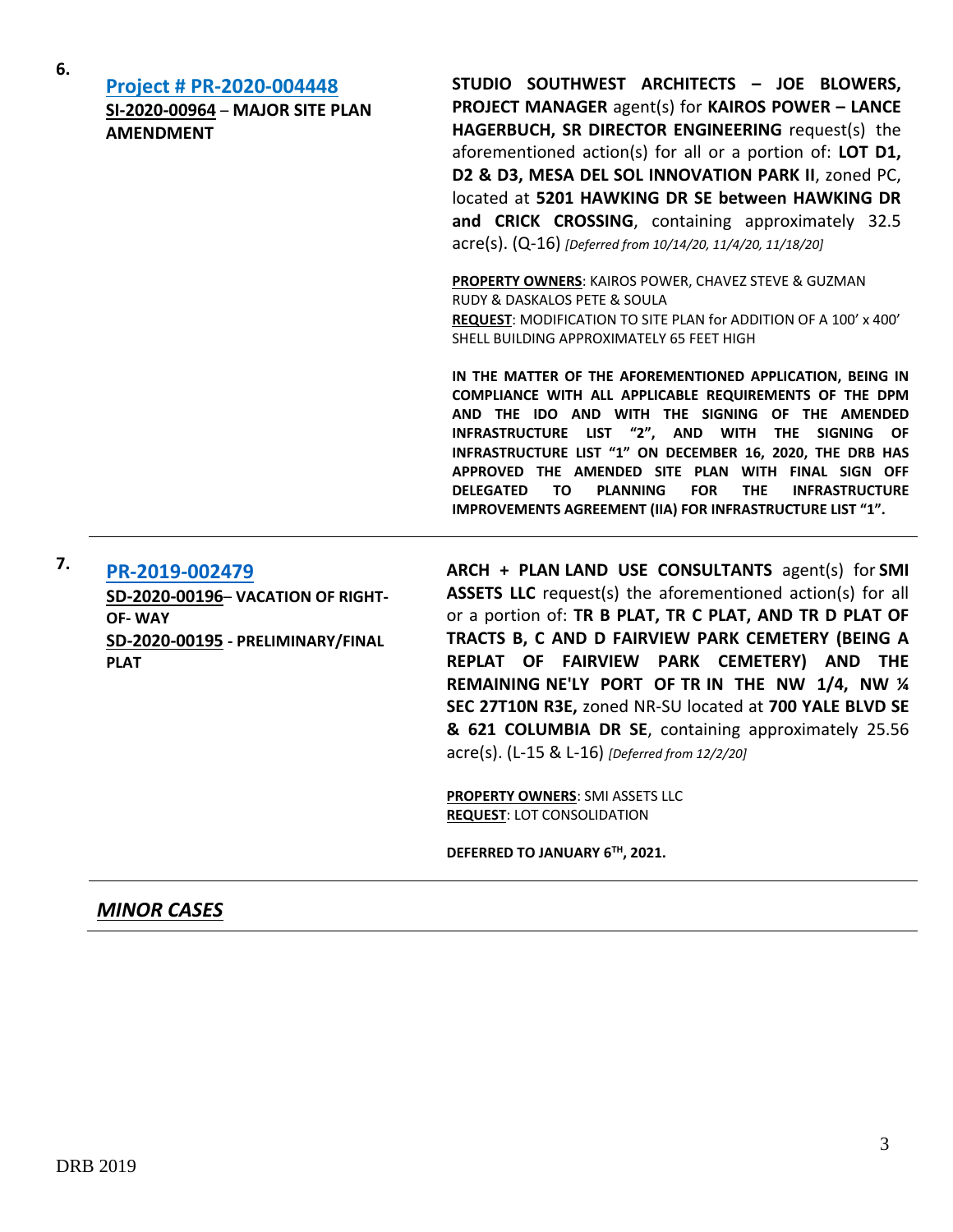| 6. | <b>Project # PR-2020-004448</b><br><b>SI-2020-00964 - MAJOR SITE PLAN</b><br><b>AMENDMENT</b> | STUDIO SOUTHWEST ARCHITECTS - JOE BLOWERS,<br><b>PROJECT MANAGER agent(s) for KAIROS POWER - LANCE</b><br>HAGERBUCH, SR DIRECTOR ENGINEERING request(s) the<br>aforementioned action(s) for all or a portion of: LOT D1,<br>D2 & D3, MESA DEL SOL INNOVATION PARK II, zoned PC,<br>located at 5201 HAWKING DR SE between HAWKING DR<br>and CRICK CROSSING, containing approximately 32.5<br>$\text{acre(s)}$ . (Q-16) [Deferred from 10/14/20, 11/4/20, 11/18/20]                                                          |
|----|-----------------------------------------------------------------------------------------------|----------------------------------------------------------------------------------------------------------------------------------------------------------------------------------------------------------------------------------------------------------------------------------------------------------------------------------------------------------------------------------------------------------------------------------------------------------------------------------------------------------------------------|
|    |                                                                                               | PROPERTY OWNERS: KAIROS POWER, CHAVEZ STEVE & GUZMAN<br><b>RUDY &amp; DASKALOS PETE &amp; SOULA</b><br><b>REQUEST:</b> MODIFICATION TO SITE PLAN for ADDITION OF A 100' x 400'<br>SHELL BUILDING APPROXIMATELY 65 FEET HIGH                                                                                                                                                                                                                                                                                                |
|    |                                                                                               | IN THE MATTER OF THE AFOREMENTIONED APPLICATION, BEING IN<br>COMPLIANCE WITH ALL APPLICABLE REQUIREMENTS OF THE DPM<br>AND THE IDO AND WITH THE SIGNING OF THE AMENDED<br>INFRASTRUCTURE LIST "2", AND WITH<br><b>THE</b><br>SIGNING OF<br>INFRASTRUCTURE LIST "1" ON DECEMBER 16, 2020, THE DRB HAS<br>APPROVED THE AMENDED SITE PLAN WITH FINAL SIGN OFF<br><b>FOR</b><br><b>THE</b><br><b>DELEGATED</b><br>TO.<br><b>PLANNING</b><br><b>INFRASTRUCTURE</b><br>IMPROVEMENTS AGREEMENT (IIA) FOR INFRASTRUCTURE LIST "1". |

#### **7. [PR-2019-002479](http://data.cabq.gov/government/planning/DRB/PR-2019-002479/DRB%20Submittals/) SD-2020-00196**– **VACATION OF RIGHT-OF- WAY SD-2020-00195 - PRELIMINARY/FINAL PLAT**

**ARCH + PLAN LAND USE CONSULTANTS** agent(s) for **SMI ASSETS LLC** request(s) the aforementioned action(s) for all or a portion of: **TR B PLAT, TR C PLAT, AND TR D PLAT OF TRACTS B, C AND D FAIRVIEW PARK CEMETERY (BEING A REPLAT OF FAIRVIEW PARK CEMETERY) AND THE REMAINING NE'LY PORT OF TR IN THE NW 1/4, NW ¼ SEC 27T10N R3E,** zoned NR-SU located at **700 YALE BLVD SE & 621 COLUMBIA DR SE**, containing approximately 25.56 acre(s). (L-15 & L-16) *[Deferred from 12/2/20]*

**PROPERTY OWNERS**: SMI ASSETS LLC **REQUEST**: LOT CONSOLIDATION

**DEFERRED TO JANUARY 6TH , 2021.**

#### *MINOR CASES*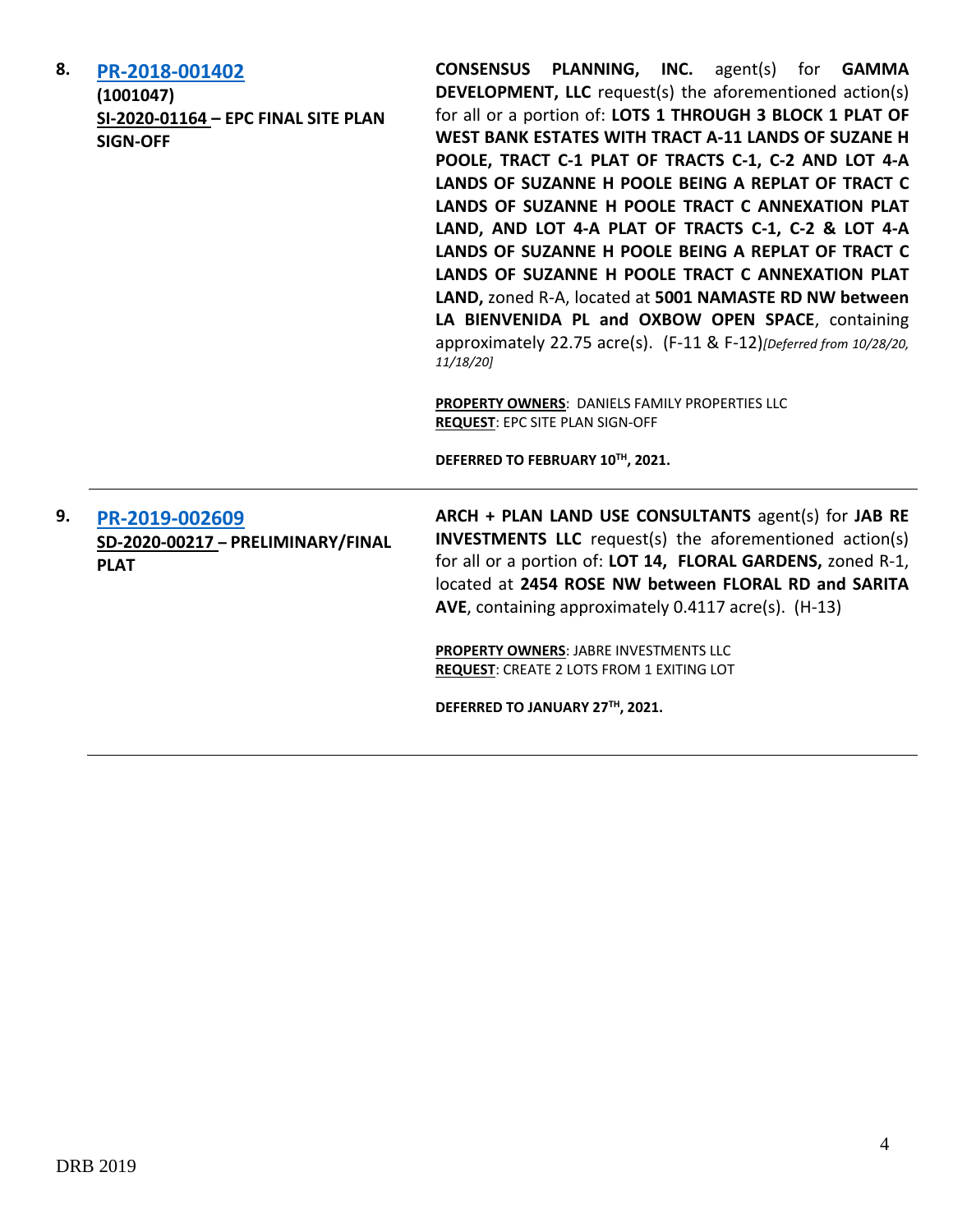| 8. | PR-2018-001402<br>(1001047)<br>SI-2020-01164 - EPC FINAL SITE PLAN<br><b>SIGN-OFF</b> | <b>CONSENSUS PLANNING, INC.</b> agent(s) for <b>GAMMA</b><br><b>DEVELOPMENT, LLC</b> request(s) the aforementioned action(s)<br>for all or a portion of: LOTS 1 THROUGH 3 BLOCK 1 PLAT OF<br>WEST BANK ESTATES WITH TRACT A-11 LANDS OF SUZANE H<br>POOLE, TRACT C-1 PLAT OF TRACTS C-1, C-2 AND LOT 4-A<br>LANDS OF SUZANNE H POOLE BEING A REPLAT OF TRACT C<br>LANDS OF SUZANNE H POOLE TRACT C ANNEXATION PLAT<br>LAND, AND LOT 4-A PLAT OF TRACTS C-1, C-2 & LOT 4-A<br>LANDS OF SUZANNE H POOLE BEING A REPLAT OF TRACT C<br>LANDS OF SUZANNE H POOLE TRACT C ANNEXATION PLAT<br>LAND, zoned R-A, located at 5001 NAMASTE RD NW between<br>LA BIENVENIDA PL and OXBOW OPEN SPACE, containing<br>approximately 22.75 acre(s). (F-11 & F-12) [Deferred from 10/28/20,<br>11/18/20<br>PROPERTY OWNERS: DANIELS FAMILY PROPERTIES LLC<br><b>REQUEST: EPC SITE PLAN SIGN-OFF</b> |
|----|---------------------------------------------------------------------------------------|-----------------------------------------------------------------------------------------------------------------------------------------------------------------------------------------------------------------------------------------------------------------------------------------------------------------------------------------------------------------------------------------------------------------------------------------------------------------------------------------------------------------------------------------------------------------------------------------------------------------------------------------------------------------------------------------------------------------------------------------------------------------------------------------------------------------------------------------------------------------------------------|
|    |                                                                                       | DEFERRED TO FEBRUARY 10™, 2021.                                                                                                                                                                                                                                                                                                                                                                                                                                                                                                                                                                                                                                                                                                                                                                                                                                                   |
| 9. | PR-2019-002609<br>SD-2020-00217 - PRELIMINARY/FINAL<br><b>PLAT</b>                    | ARCH + PLAN LAND USE CONSULTANTS agent(s) for JAB RE<br><b>INVESTMENTS LLC</b> request(s) the aforementioned action(s)<br>for all or a portion of: LOT 14, FLORAL GARDENS, zoned R-1,<br>located at 2454 ROSE NW between FLORAL RD and SARITA<br>AVE, containing approximately 0.4117 acre(s). (H-13)                                                                                                                                                                                                                                                                                                                                                                                                                                                                                                                                                                             |
|    |                                                                                       | <b>PROPERTY OWNERS: JABRE INVESTMENTS LLC</b><br>REQUEST: CREATE 2 LOTS FROM 1 EXITING LOT                                                                                                                                                                                                                                                                                                                                                                                                                                                                                                                                                                                                                                                                                                                                                                                        |
|    |                                                                                       | DEFERRED TO JANUARY 27TH, 2021.                                                                                                                                                                                                                                                                                                                                                                                                                                                                                                                                                                                                                                                                                                                                                                                                                                                   |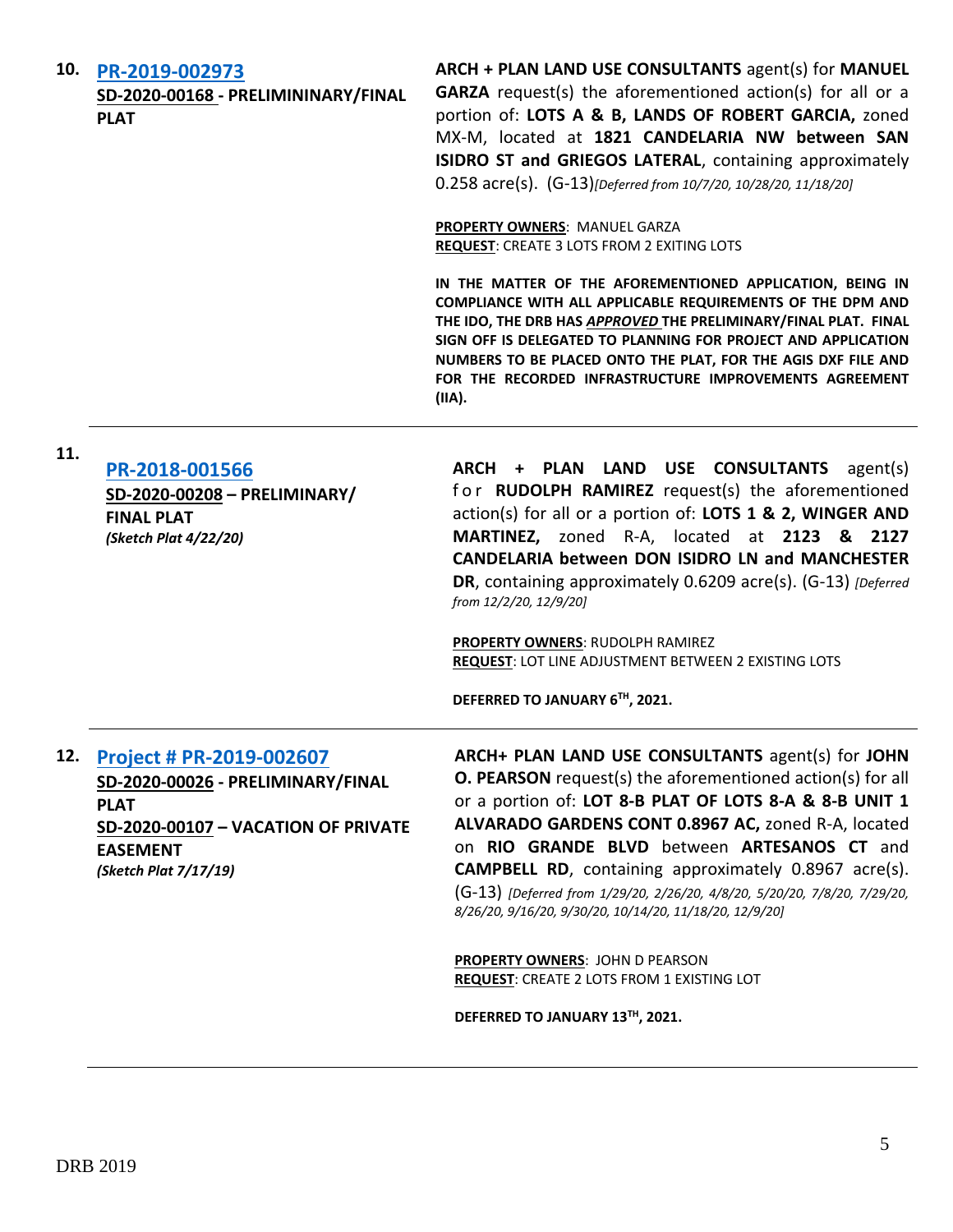**10. [PR-2019-002973](http://data.cabq.gov/government/planning/DRB/PR-2019-002973/DRB%20Submittals/)**

**11.**

**SD-2020-00168 - PRELIMININARY/FINAL PLAT**

**ARCH + PLAN LAND USE CONSULTANTS** agent(s) for **MANUEL GARZA** request(s) the aforementioned action(s) for all or a portion of: **LOTS A & B, LANDS OF ROBERT GARCIA,** zoned MX-M, located at **1821 CANDELARIA NW between SAN ISIDRO ST and GRIEGOS LATERAL**, containing approximately 0.258 acre(s). (G-13)*[Deferred from 10/7/20, 10/28/20, 11/18/20]*

**PROPERTY OWNERS**: MANUEL GARZA **REQUEST**: CREATE 3 LOTS FROM 2 EXITING LOTS

**IN THE MATTER OF THE AFOREMENTIONED APPLICATION, BEING IN COMPLIANCE WITH ALL APPLICABLE REQUIREMENTS OF THE DPM AND THE IDO, THE DRB HAS** *APPROVED* **THE PRELIMINARY/FINAL PLAT. FINAL SIGN OFF IS DELEGATED TO PLANNING FOR PROJECT AND APPLICATION NUMBERS TO BE PLACED ONTO THE PLAT, FOR THE AGIS DXF FILE AND FOR THE RECORDED INFRASTRUCTURE IMPROVEMENTS AGREEMENT (IIA).**

**[PR-2018-001566](http://data.cabq.gov/government/planning/DRB/PR-2018-001566/DRB%20Submittals/) SD-2020-00208 – PRELIMINARY/ FINAL PLAT** *(Sketch Plat 4/22/20)*

**ARCH + PLAN LAND USE CONSULTANTS** agent(s) for **RUDOLPH RAMIREZ** request(s) the aforementioned action(s) for all or a portion of: **LOTS 1 & 2, WINGER AND MARTINEZ,** zoned R-A, located at **2123 & 2127 CANDELARIA between DON ISIDRO LN and MANCHESTER DR**, containing approximately 0.6209 acre(s). (G-13) *[Deferred from 12/2/20, 12/9/20]*

**PROPERTY OWNERS**: RUDOLPH RAMIREZ **REQUEST**: LOT LINE ADJUSTMENT BETWEEN 2 EXISTING LOTS

**DEFERRED TO JANUARY 6TH, 2021.** 

## **12. [Project # PR-2019-002607](http://data.cabq.gov/government/planning/DRB/PR-2019-002607/DRB%20Submittals/)**

**SD-2020-00026 - PRELIMINARY/FINAL PLAT SD-2020-00107 – VACATION OF PRIVATE EASEMENT** *(Sketch Plat 7/17/19)*

**ARCH+ PLAN LAND USE CONSULTANTS** agent(s) for **JOHN O. PEARSON** request(s) the aforementioned action(s) for all or a portion of: **LOT 8-B PLAT OF LOTS 8-A & 8-B UNIT 1 ALVARADO GARDENS CONT 0.8967 AC,** zoned R-A, located on **RIO GRANDE BLVD** between **ARTESANOS CT** and **CAMPBELL RD**, containing approximately 0.8967 acre(s). (G-13) *[Deferred from 1/29/20, 2/26/20, 4/8/20, 5/20/20, 7/8/20, 7/29/20, 8/26/20, 9/16/20, 9/30/20, 10/14/20, 11/18/20, 12/9/20]*

**PROPERTY OWNERS**: JOHN D PEARSON **REQUEST**: CREATE 2 LOTS FROM 1 EXISTING LOT

**DEFERRED TO JANUARY 13TH, 2021.**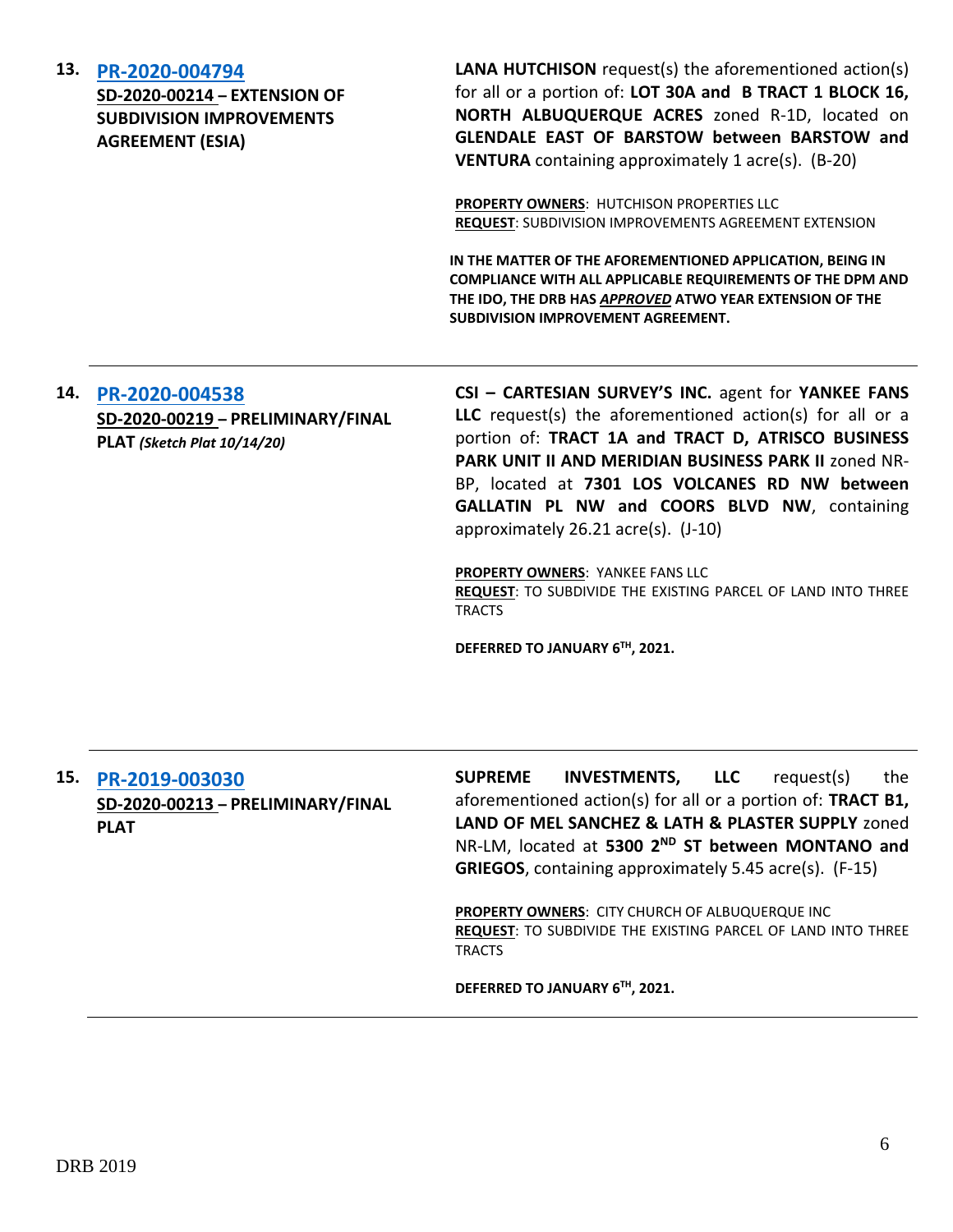| 13. | PR-2020-004794<br><b>SD-2020-00214 - EXTENSION OF</b><br><b>SUBDIVISION IMPROVEMENTS</b><br><b>AGREEMENT (ESIA)</b> | <b>LANA HUTCHISON</b> request(s) the aforementioned action(s)<br>for all or a portion of: LOT 30A and B TRACT 1 BLOCK 16,<br>NORTH ALBUQUERQUE ACRES zoned R-1D, located on<br>GLENDALE EAST OF BARSTOW between BARSTOW and<br><b>VENTURA</b> containing approximately 1 acre(s). (B-20)                                                                                                 |
|-----|---------------------------------------------------------------------------------------------------------------------|------------------------------------------------------------------------------------------------------------------------------------------------------------------------------------------------------------------------------------------------------------------------------------------------------------------------------------------------------------------------------------------|
|     |                                                                                                                     | <b>PROPERTY OWNERS: HUTCHISON PROPERTIES LLC</b><br><b>REQUEST: SUBDIVISION IMPROVEMENTS AGREEMENT EXTENSION</b>                                                                                                                                                                                                                                                                         |
|     |                                                                                                                     | IN THE MATTER OF THE AFOREMENTIONED APPLICATION, BEING IN<br><b>COMPLIANCE WITH ALL APPLICABLE REQUIREMENTS OF THE DPM AND</b><br>THE IDO, THE DRB HAS APPROVED ATWO YEAR EXTENSION OF THE<br><b>SUBDIVISION IMPROVEMENT AGREEMENT.</b>                                                                                                                                                  |
| 14. | PR-2020-004538<br>SD-2020-00219 - PRELIMINARY/FINAL<br>PLAT (Sketch Plat 10/14/20)                                  | CSI - CARTESIAN SURVEY'S INC. agent for YANKEE FANS<br><b>LLC</b> request(s) the aforementioned action(s) for all or a<br>portion of: TRACT 1A and TRACT D, ATRISCO BUSINESS<br>PARK UNIT II AND MERIDIAN BUSINESS PARK II zoned NR-<br>BP, located at 7301 LOS VOLCANES RD NW between<br><b>GALLATIN PL NW and COORS BLVD NW, containing</b><br>approximately $26.21$ acre(s). $(J-10)$ |

**PROPERTY OWNERS**: YANKEE FANS LLC **REQUEST**: TO SUBDIVIDE THE EXISTING PARCEL OF LAND INTO THREE TRACTS

**DEFERRED TO JANUARY 6TH, 2021.**

## **15. [PR-2019-003030](http://data.cabq.gov/government/planning/DRB/PR-2019-003030/DRB%20Submittals/PR-2019-003030_Dec_16,%202020/Application/2020%2012%2001%20-%20SI%20-%205300%20-%20DRB%20Prelim_Final%20-%20Application%20Packet%20(3).pdf) SD-2020-00213 – PRELIMINARY/FINAL PLAT**

**SUPREME INVESTMENTS, LLC** request(s) the aforementioned action(s) for all or a portion of: **TRACT B1, LAND OF MEL SANCHEZ & LATH & PLASTER SUPPLY** zoned NR-LM, located at **5300 2ND ST between MONTANO and GRIEGOS**, containing approximately 5.45 acre(s). (F-15)

**PROPERTY OWNERS**: CITY CHURCH OF ALBUQUERQUE INC **REQUEST**: TO SUBDIVIDE THE EXISTING PARCEL OF LAND INTO THREE TRACTS

**DEFERRED TO JANUARY 6TH, 2021.**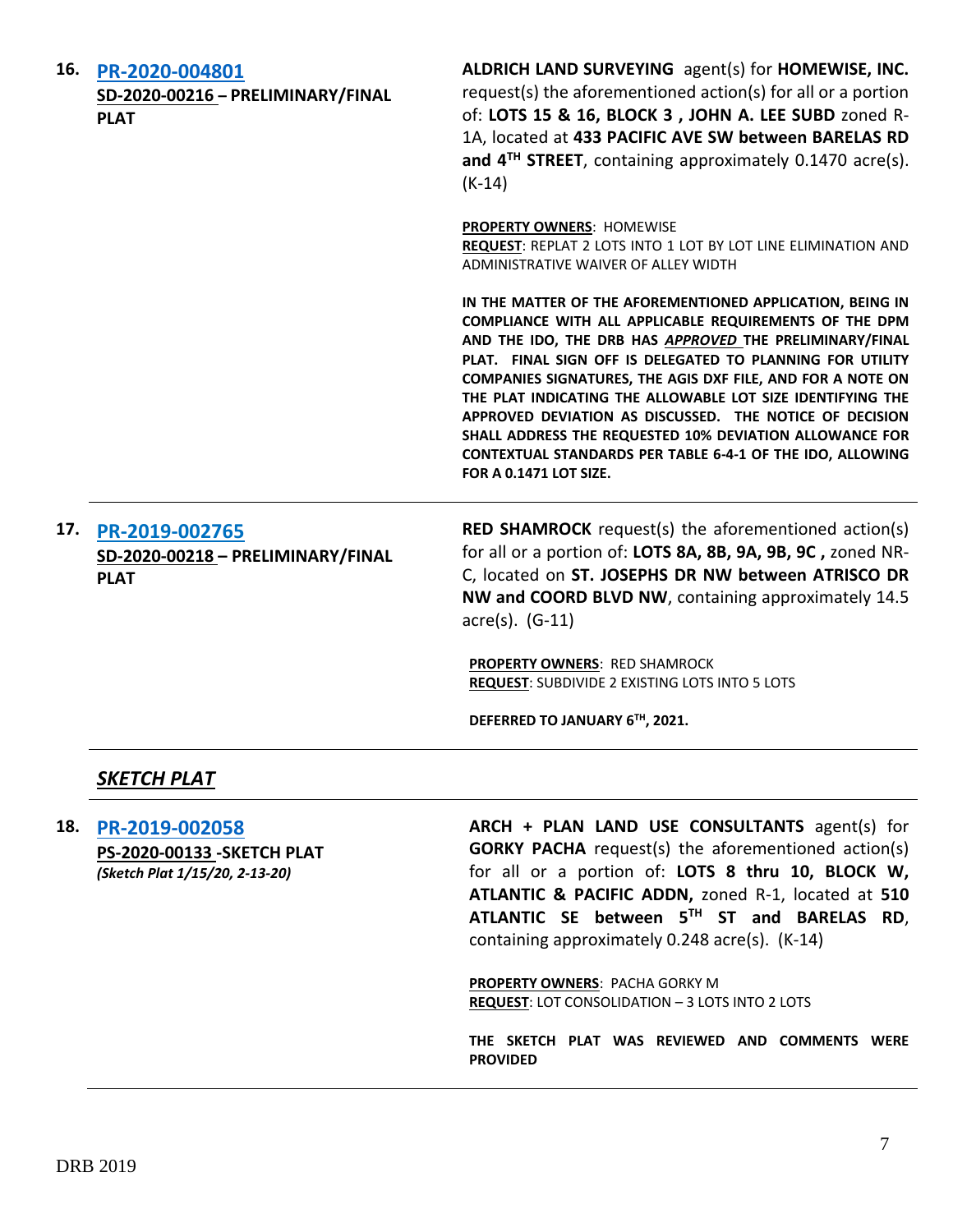| 16. | PR-2020-004801<br>SD-2020-00216 - PRELIMINARY/FINAL<br><b>PLAT</b> | ALDRICH LAND SURVEYING agent(s) for HOMEWISE, INC.<br>request(s) the aforementioned action(s) for all or a portion<br>of: LOTS 15 & 16, BLOCK 3, JOHN A. LEE SUBD zoned R-<br>1A, located at 433 PACIFIC AVE SW between BARELAS RD<br>and 4 <sup>TH</sup> STREET, containing approximately 0.1470 acre(s).<br>$(K-14)$                                                                                                                                                                                                                                                                      |
|-----|--------------------------------------------------------------------|---------------------------------------------------------------------------------------------------------------------------------------------------------------------------------------------------------------------------------------------------------------------------------------------------------------------------------------------------------------------------------------------------------------------------------------------------------------------------------------------------------------------------------------------------------------------------------------------|
|     |                                                                    | <b>PROPERTY OWNERS: HOMEWISE</b><br>REQUEST: REPLAT 2 LOTS INTO 1 LOT BY LOT LINE ELIMINATION AND<br>ADMINISTRATIVE WAIVER OF ALLEY WIDTH                                                                                                                                                                                                                                                                                                                                                                                                                                                   |
|     |                                                                    | IN THE MATTER OF THE AFOREMENTIONED APPLICATION, BEING IN<br>COMPLIANCE WITH ALL APPLICABLE REQUIREMENTS OF THE DPM<br>AND THE IDO, THE DRB HAS APPROVED THE PRELIMINARY/FINAL<br>PLAT. FINAL SIGN OFF IS DELEGATED TO PLANNING FOR UTILITY<br>COMPANIES SIGNATURES, THE AGIS DXF FILE, AND FOR A NOTE ON<br>THE PLAT INDICATING THE ALLOWABLE LOT SIZE IDENTIFYING THE<br>APPROVED DEVIATION AS DISCUSSED. THE NOTICE OF DECISION<br>SHALL ADDRESS THE REQUESTED 10% DEVIATION ALLOWANCE FOR<br>CONTEXTUAL STANDARDS PER TABLE 6-4-1 OF THE IDO, ALLOWING<br><b>FOR A 0.1471 LOT SIZE.</b> |
| 17. |                                                                    | <b>RED SHAMROCK</b> request(s) the aforementioned action(s)                                                                                                                                                                                                                                                                                                                                                                                                                                                                                                                                 |
|     | PR-2019-002765<br>SD-2020-00218 - PRELIMINARY/FINAL                | for all or a portion of: LOTS 8A, 8B, 9A, 9B, 9C, zoned NR-                                                                                                                                                                                                                                                                                                                                                                                                                                                                                                                                 |
|     | <b>PLAT</b>                                                        | C, located on ST. JOSEPHS DR NW between ATRISCO DR                                                                                                                                                                                                                                                                                                                                                                                                                                                                                                                                          |
|     |                                                                    | NW and COORD BLVD NW, containing approximately 14.5                                                                                                                                                                                                                                                                                                                                                                                                                                                                                                                                         |
|     |                                                                    | $\arccos(5)$ . (G-11)                                                                                                                                                                                                                                                                                                                                                                                                                                                                                                                                                                       |
|     |                                                                    | PROPERTY OWNERS: RED SHAMROCK<br>REQUEST: SUBDIVIDE 2 EXISTING LOTS INTO 5 LOTS                                                                                                                                                                                                                                                                                                                                                                                                                                                                                                             |
|     |                                                                    | DEFERRED TO JANUARY 6TH, 2021.                                                                                                                                                                                                                                                                                                                                                                                                                                                                                                                                                              |
|     | <b>SKETCH PLAT</b>                                                 |                                                                                                                                                                                                                                                                                                                                                                                                                                                                                                                                                                                             |
| 18. | DR_2010_002058                                                     | $ARCH + PIAN$ LAND LISE CONSLILTANTS agent(s) for                                                                                                                                                                                                                                                                                                                                                                                                                                                                                                                                           |

**18. [PR-2019-002058](http://data.cabq.gov/government/planning/DRB/PR-2019-002058/DRB%20Submittals/PR-2019-002058_Dec_16_2020/Application/ATLANTIC%20&%20PACIFIC%20-%20SKETCH%20PLAT.pdf) PS-2020-00133 -SKETCH PLAT** *(Sketch Plat 1/15/20, 2-13-20)*

**USE CONSULTANTS** agent(s) **GORKY PACHA** request(s) the aforementioned action(s) for all or a portion of: **LOTS 8 thru 10, BLOCK W, ATLANTIC & PACIFIC ADDN,** zoned R-1, located at **510 ATLANTIC SE between 5TH ST and BARELAS RD**, containing approximately 0.248 acre(s). (K-14)

**PROPERTY OWNERS**: PACHA GORKY M **REQUEST**: LOT CONSOLIDATION – 3 LOTS INTO 2 LOTS

**THE SKETCH PLAT WAS REVIEWED AND COMMENTS WERE PROVIDED**